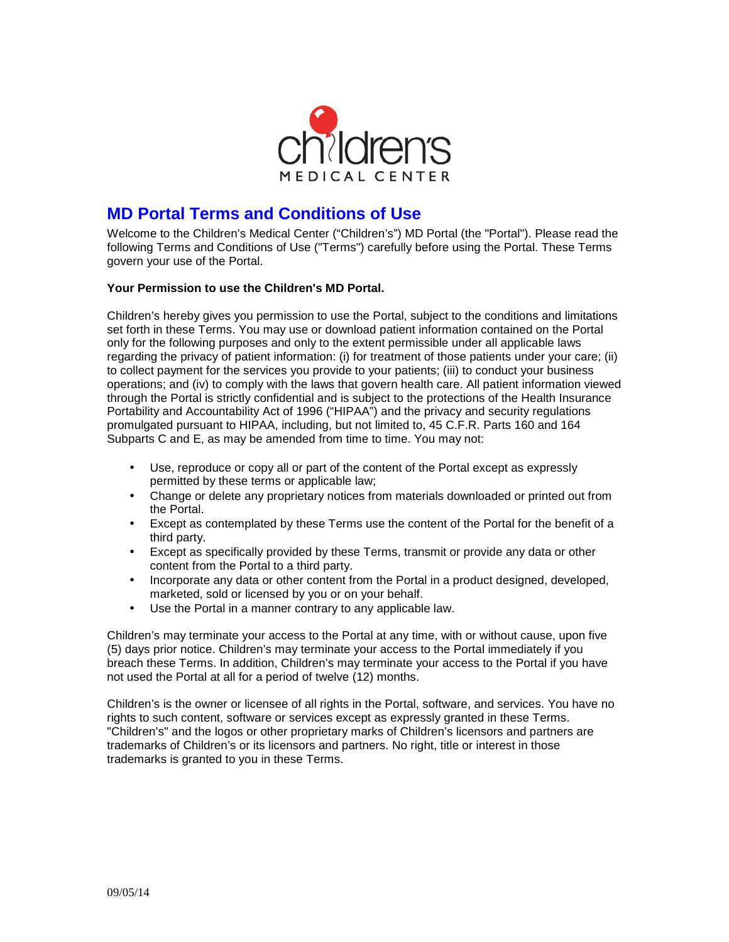

# **MD Portal Terms and Conditions of Use**

Welcome to the Children's Medical Center ("Children's") MD Portal (the "Portal"). Please read the following Terms and Conditions of Use ("Terms") carefully before using the Portal. These Terms govern your use of the Portal.

## **Your Permission to use the Children's MD Portal.**

Children's hereby gives you permission to use the Portal, subject to the conditions and limitations set forth in these Terms. You may use or download patient information contained on the Portal only for the following purposes and only to the extent permissible under all applicable laws regarding the privacy of patient information: (i) for treatment of those patients under your care; (ii) to collect payment for the services you provide to your patients; (iii) to conduct your business operations; and (iv) to comply with the laws that govern health care. All patient information viewed through the Portal is strictly confidential and is subject to the protections of the Health Insurance Portability and Accountability Act of 1996 ("HIPAA") and the privacy and security regulations promulgated pursuant to HIPAA, including, but not limited to, 45 C.F.R. Parts 160 and 164 Subparts C and E, as may be amended from time to time. You may not:

- Use, reproduce or copy all or part of the content of the Portal except as expressly permitted by these terms or applicable law;
- Change or delete any proprietary notices from materials downloaded or printed out from the Portal.
- Except as contemplated by these Terms use the content of the Portal for the benefit of a third party.
- Except as specifically provided by these Terms, transmit or provide any data or other content from the Portal to a third party.
- Incorporate any data or other content from the Portal in a product designed, developed, marketed, sold or licensed by you or on your behalf.
- Use the Portal in a manner contrary to any applicable law.

Children's may terminate your access to the Portal at any time, with or without cause, upon five (5) days prior notice. Children's may terminate your access to the Portal immediately if you breach these Terms. In addition, Children's may terminate your access to the Portal if you have not used the Portal at all for a period of twelve (12) months.

Children's is the owner or licensee of all rights in the Portal, software, and services. You have no rights to such content, software or services except as expressly granted in these Terms. "Children's" and the logos or other proprietary marks of Children's licensors and partners are trademarks of Children's or its licensors and partners. No right, title or interest in those trademarks is granted to you in these Terms.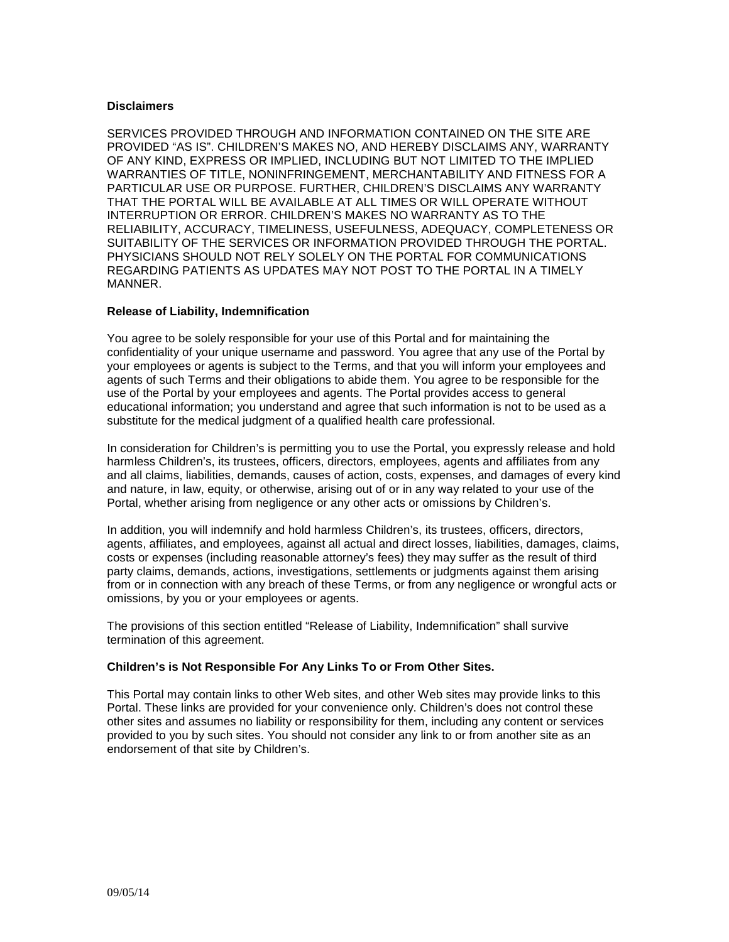#### **Disclaimers**

SERVICES PROVIDED THROUGH AND INFORMATION CONTAINED ON THE SITE ARE PROVIDED "AS IS". CHILDREN'S MAKES NO, AND HEREBY DISCLAIMS ANY, WARRANTY OF ANY KIND, EXPRESS OR IMPLIED, INCLUDING BUT NOT LIMITED TO THE IMPLIED WARRANTIES OF TITLE, NONINFRINGEMENT, MERCHANTABILITY AND FITNESS FOR A PARTICULAR USE OR PURPOSE. FURTHER, CHILDREN'S DISCLAIMS ANY WARRANTY THAT THE PORTAL WILL BE AVAILABLE AT ALL TIMES OR WILL OPERATE WITHOUT INTERRUPTION OR ERROR. CHILDREN'S MAKES NO WARRANTY AS TO THE RELIABILITY, ACCURACY, TIMELINESS, USEFULNESS, ADEQUACY, COMPLETENESS OR SUITABILITY OF THE SERVICES OR INFORMATION PROVIDED THROUGH THE PORTAL. PHYSICIANS SHOULD NOT RELY SOLELY ON THE PORTAL FOR COMMUNICATIONS REGARDING PATIENTS AS UPDATES MAY NOT POST TO THE PORTAL IN A TIMELY MANNER.

#### **Release of Liability, Indemnification**

You agree to be solely responsible for your use of this Portal and for maintaining the confidentiality of your unique username and password. You agree that any use of the Portal by your employees or agents is subject to the Terms, and that you will inform your employees and agents of such Terms and their obligations to abide them. You agree to be responsible for the use of the Portal by your employees and agents. The Portal provides access to general educational information; you understand and agree that such information is not to be used as a substitute for the medical judgment of a qualified health care professional.

In consideration for Children's is permitting you to use the Portal, you expressly release and hold harmless Children's, its trustees, officers, directors, employees, agents and affiliates from any and all claims, liabilities, demands, causes of action, costs, expenses, and damages of every kind and nature, in law, equity, or otherwise, arising out of or in any way related to your use of the Portal, whether arising from negligence or any other acts or omissions by Children's.

In addition, you will indemnify and hold harmless Children's, its trustees, officers, directors, agents, affiliates, and employees, against all actual and direct losses, liabilities, damages, claims, costs or expenses (including reasonable attorney's fees) they may suffer as the result of third party claims, demands, actions, investigations, settlements or judgments against them arising from or in connection with any breach of these Terms, or from any negligence or wrongful acts or omissions, by you or your employees or agents.

The provisions of this section entitled "Release of Liability, Indemnification" shall survive termination of this agreement.

### **Children's is Not Responsible For Any Links To or From Other Sites.**

This Portal may contain links to other Web sites, and other Web sites may provide links to this Portal. These links are provided for your convenience only. Children's does not control these other sites and assumes no liability or responsibility for them, including any content or services provided to you by such sites. You should not consider any link to or from another site as an endorsement of that site by Children's.